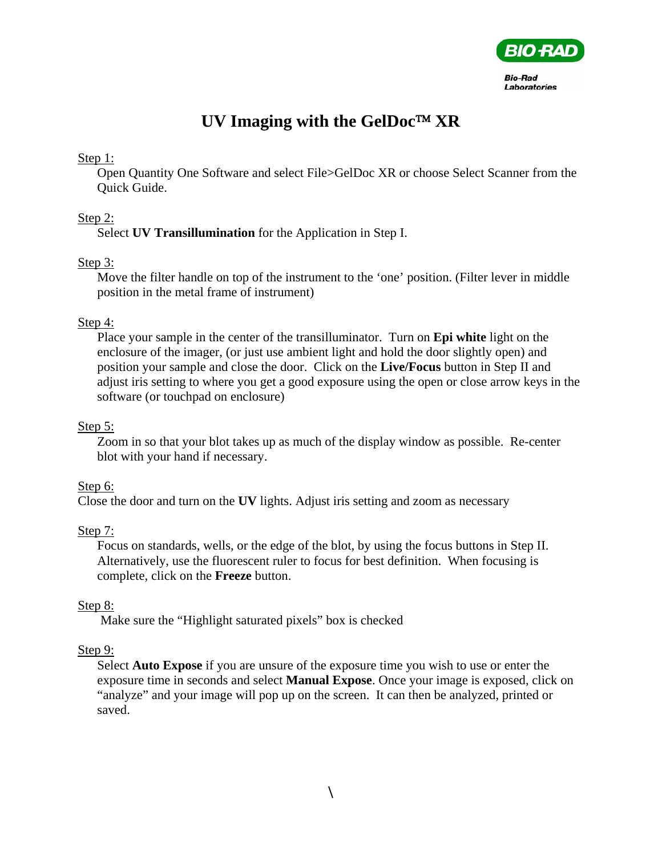

# **UV Imaging with the GelDoc**™ **XR**

#### Step 1:

Open Quantity One Software and select File>GelDoc XR or choose Select Scanner from the Quick Guide.

### Step 2:

Select **UV Transillumination** for the Application in Step I.

### Step 3:

Move the filter handle on top of the instrument to the 'one' position. (Filter lever in middle position in the metal frame of instrument)

### Step 4:

Place your sample in the center of the transilluminator. Turn on **Epi white** light on the enclosure of the imager, (or just use ambient light and hold the door slightly open) and position your sample and close the door. Click on the **Live/Focus** button in Step II and adjust iris setting to where you get a good exposure using the open or close arrow keys in the software (or touchpad on enclosure)

#### Step 5:

Zoom in so that your blot takes up as much of the display window as possible. Re-center blot with your hand if necessary.

### Step 6:

Close the door and turn on the **UV** lights. Adjust iris setting and zoom as necessary

### Step 7:

Focus on standards, wells, or the edge of the blot, by using the focus buttons in Step II. Alternatively, use the fluorescent ruler to focus for best definition. When focusing is complete, click on the **Freeze** button.

### Step 8:

Make sure the "Highlight saturated pixels" box is checked

### Step 9:

Select **Auto Expose** if you are unsure of the exposure time you wish to use or enter the exposure time in seconds and select **Manual Expose**. Once your image is exposed, click on "analyze" and your image will pop up on the screen. It can then be analyzed, printed or saved.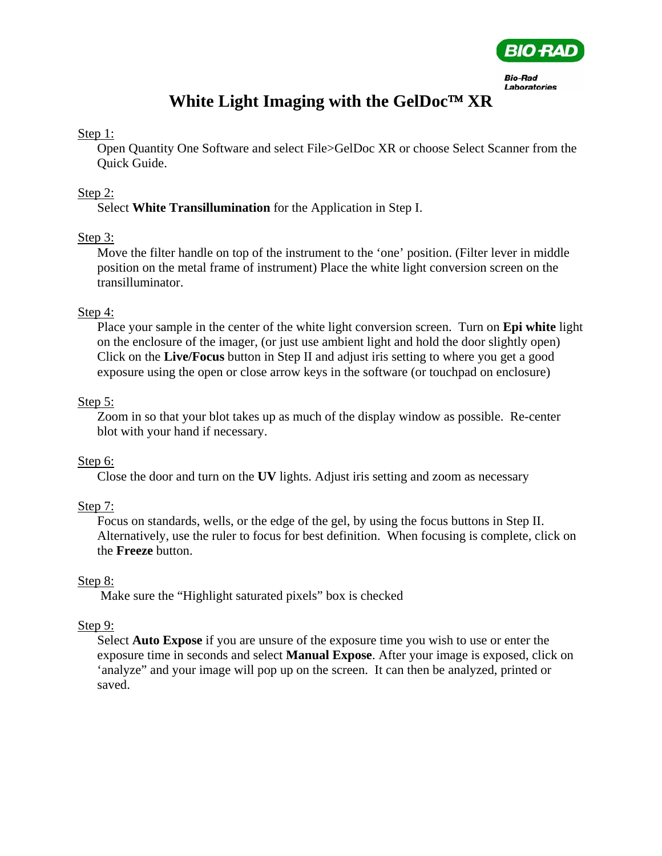

# **White Light Imaging with the GelDoc**™ **XR**

#### Step 1:

Open Quantity One Software and select File>GelDoc XR or choose Select Scanner from the Quick Guide.

## Step 2:

Select **White Transillumination** for the Application in Step I.

## Step 3:

Move the filter handle on top of the instrument to the 'one' position. (Filter lever in middle position on the metal frame of instrument) Place the white light conversion screen on the transilluminator.

### Step 4:

Place your sample in the center of the white light conversion screen. Turn on **Epi white** light on the enclosure of the imager, (or just use ambient light and hold the door slightly open) Click on the **Live/Focus** button in Step II and adjust iris setting to where you get a good exposure using the open or close arrow keys in the software (or touchpad on enclosure)

## Step 5:

Zoom in so that your blot takes up as much of the display window as possible. Re-center blot with your hand if necessary.

# Step 6:

Close the door and turn on the **UV** lights. Adjust iris setting and zoom as necessary

# Step 7:

Focus on standards, wells, or the edge of the gel, by using the focus buttons in Step II. Alternatively, use the ruler to focus for best definition. When focusing is complete, click on the **Freeze** button.

# Step 8:

Make sure the "Highlight saturated pixels" box is checked

# Step 9:

Select **Auto Expose** if you are unsure of the exposure time you wish to use or enter the exposure time in seconds and select **Manual Expose**. After your image is exposed, click on 'analyze" and your image will pop up on the screen. It can then be analyzed, printed or saved.